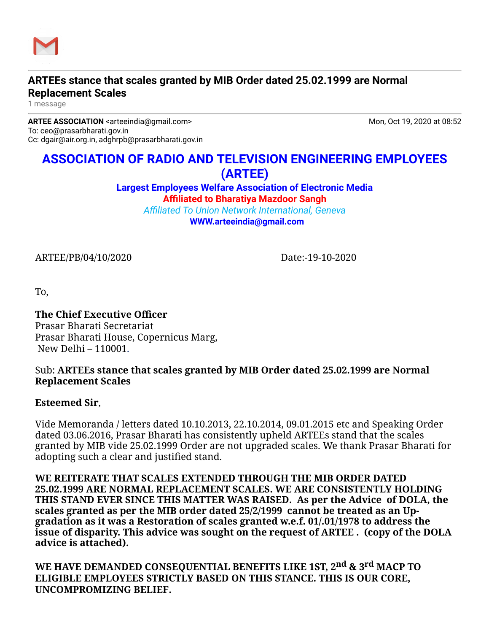

# **ARTEEs stance that scales granted by MIB Order dated 25.02.1999 are Normal Replacement Scales**

1 message

**ARTEE ASSOCIATION** <arteeindia@gmail.com> Mon, Oct 19, 2020 at 08:52 To: ceo@prasarbharati.gov.in Cc: dgair@air.org.in, adghrpb@prasarbharati.gov.in

# **ASSOCIATION OF RADIO AND TELEVISION ENGINEERING EMPLOYEES (ARTEE)**

**Largest Employees Welfare Association of Electronic Media Affiliated to Bharatiya Mazdoor Sangh**

*Affiliated To Union Network International, Geneva* **[WWW.arteeindia@gmail.com](http://WWW.arteeindia@gmail.com/)**

ARTEE/PB/04/10/2020 Date:-19-10-2020

To,

#### **The Chief Executive Officer**  Prasar Bharati Secretariat Prasar Bharati House, Copernicus Marg, New Delhi – 110001.

## Sub: **ARTEEs stance that scales granted by MIB Order dated 25.02.1999 are Normal Replacement Scales**

## **Esteemed Sir**,

Vide Memoranda / letters dated 10.10.2013, 22.10.2014, 09.01.2015 etc and Speaking Order dated 03.06.2016, Prasar Bharati has consistently upheld ARTEEs stand that the scales granted by MIB vide 25.02.1999 Order are not upgraded scales. We thank Prasar Bharati for adopting such a clear and justified stand.

**WE REITERATE THAT SCALES EXTENDED THROUGH THE MIB ORDER DATED 25.02.1999 ARE NORMAL REPLACEMENT SCALES. WE ARE CONSISTENTLY HOLDING THIS STAND EVER SINCE THIS MATTER WAS RAISED. As per the Advice of DOLA, the scales granted as per the MIB order dated 25/2/1999 cannot be treated as an Upgradation as it was a Restoration of scales granted w.e.f. 01/.01/1978 to address the issue of disparity. This advice was sought on the request of ARTEE . (copy of the DOLA advice is attached).**

**WE HAVE DEMANDED CONSEQUENTIAL BENEFITS LIKE 1ST, 2nd & 3rd MACP TO ELIGIBLE EMPLOYEES STRICTLY BASED ON THIS STANCE. THIS IS OUR CORE, UNCOMPROMIZING BELIEF.**